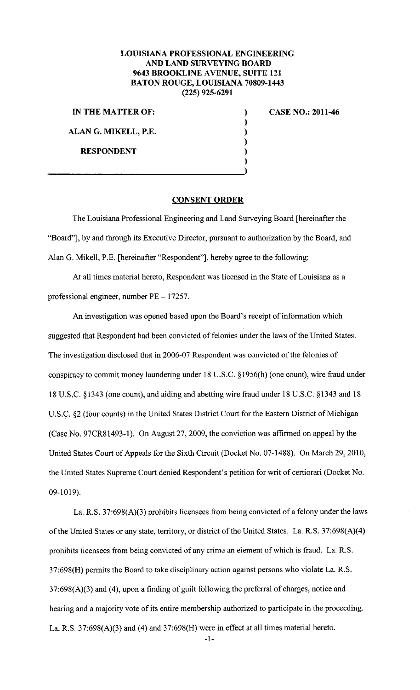## **LOUISIANA PROFESSIONAL ENGINEERING AND LAND SURVEYING BOARD 9643 BROOKLINE A VENUE, SUITE 121 BATON ROUGE, LOUISIANA 70809-1443 (225) 925-6291**

) ) ) ) )

**IN THE MATTER OF:** )

**ALAN G. MIKELL, P.E.** 

**RESPONDENT** 

**CASE NO.: 2011-46** 

## **CONSENT ORDER**

The Louisiana Professional Engineering and Land Surveying Board [hereinafter the "Board"], by and through its Executive Director, pursuant to authorization by the Board, and Alan G. Mikell, P.E. [hereinafter "Respondent"], hereby agree to the following:

At all times material hereto, Respondent was licensed in the State of Louisiana as a professional engineer, number PE- 17257.

An investigation was opened based upon the Board's receipt of information which suggested that Respondent had been convicted of felonies under the laws of the United States. The investigation disclosed that in 2006-07 Respondent was convicted of the felonies of conspiracy to commit money laundering under 18 U.S.C. § 1956(h) (one count), wire fraud under 18 U.S.C. §1343 (one count), and aiding and abetting wire fraud under 18 U.S.C. §1343 and 18 U.S.C. §2 (four counts) in the United States District Court for the Eastern District of Michigan (Case No. 97CR81493-1). On August 27, 2009, the conviction was affirmed on appeal by the United States Court of Appeals for the Sixth Circuit (Docket No. 07-1488). On March 29, 2010, the United States Supreme Court denied Respondent's petition for writ of certiorari (Docket No. 09-1019).

La. R.S. 37:698(A)(3) prohibits licensees from being convicted of a felony under the laws of the United States or any state, territory, or district of the United States. La. R.S. 37:698(A)(4) prohibits licensees from being convicted of any crime an eiement of which is fraud. La. R.S. 37:698(H) permits the Board to take disciplinary action against persons who violate La. R.S. 37:698(A)(3) and (4), upon a finding of guilt following the preferral of charges, notice and hearing and a majority vote of its entire membership authorized to participate in the proceeding. La. R.S. 37:698(A)(3) and (4) and 37:698(H) were in effect at all times material hereto.

-I-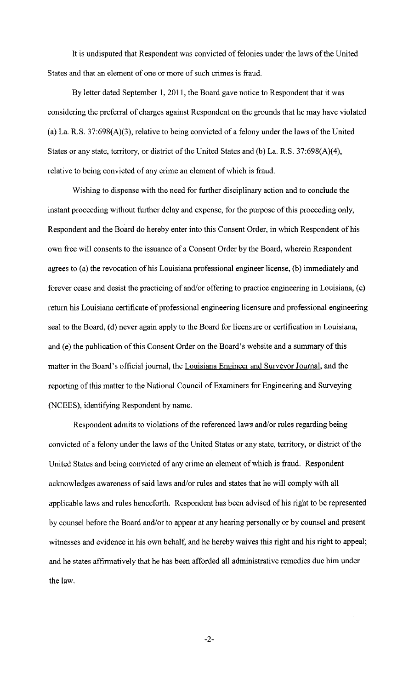It is undisputed that Respondent was convicted of felonies under the laws of the United States and that an element of one or more of such crimes is fraud.

By letter dated September I, 2011, the Board gave notice to Respondent that it was considering the preferral of charges against Respondent on the grounds that he may have violated (a) La. R.S. 37:698(A)(3), relative to being convicted of a felony under the laws of the United States or any state, territory, or district of the United States and (b) La. R.S. 37:698(A)(4), relative to being convicted of any crime an element of which is fraud.

Wishing to dispense with the need for further disciplinary action and to conclude the instant proceeding without further delay and expense, for the purpose of this proceeding only, Respondent and the Board do hereby enter into this Consent Order, in which Respondent of his own free will consents to the issuance of a Consent Order by the Board, wherein Respondent agrees to (a) the revocation of his Louisiana professional engineer license, (b) immediately and forever cease and desist the practicing of and/or offering to practice engineering in Louisiana, (c) return his Louisiana certificate of professional engineering licensure and professional engineering seal to the Board, (d) never again apply to the Board for licensure or certification in Louisiana, and (e) the publication of this Consent Order on the Board's website and a summary of this matter in the Board's official journal, the Louisiana Engineer and Surveyor Journal, and the reporting of this matter to the National Council of Examiners for Engineering and Surveying (NCEES), identifying Respondent by name.

Respondent admits to violations of the referenced laws and/or rules regarding being convicted of a felony under the laws of the United States or any state, territory, or district of the United States and being convicted of any crime an element of which is fraud. Respondent acknowledges awareness of said laws and/or rules and states that he will comply with all applicable laws and rules henceforth. Respondent has been advised of his right to be represented by counsel before the Board and/or to appear at any hearing personally or by counsel and present witnesses and evidence in his own behalf, and he hereby waives this right and his right to appeal; and he states affirmatively that he has been afforded all administrative remedies due him under the law.

-2-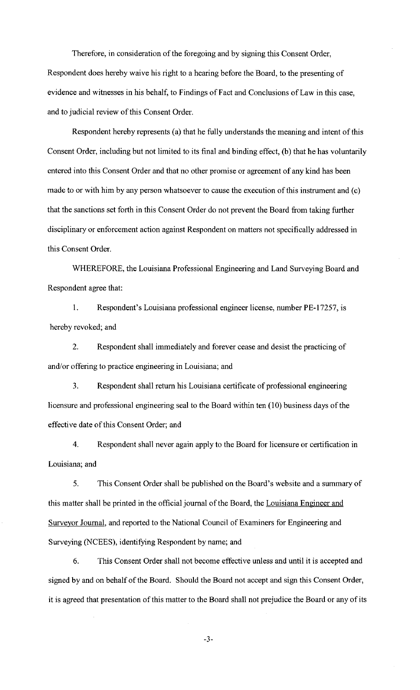Therefore, in consideration of the foregoing and by signing this Consent Order, Respondent does hereby waive his right to a hearing before the Board, to the presenting of evidence and witnesses in his behalf, to Findings of Fact and Conclusions of Law in this case, and to judicial review of this Consent Order.

Respondent hereby represents (a) that he fully understands the meaning and intent of this Consent Order, including but not limited to its final and binding effect, (b) that he has voluntarily entered into this Consent Order and that no other promise or agreement of any kind has been made to or with him by any person whatsoever to cause the execution of this instrument and (c) that the sanctions set forth in this Consent Order do not prevent the Board from taking further disciplinary or enforcement action against Respondent on matters not specifically addressed in this Consent Order.

WHEREFORE, the Louisiana Professional Engineering and Land Surveying Board and Respondent agree that:

1. Respondent's Louisiana professional engineer license, number PE-17257, is hereby revoked; and

2. Respondent shall immediately and forever cease and desist the practicing of and/or offering to practice engineering in Louisiana; and

3. Respondent shall return his Louisiana certificate of professional engineering licensure and professional engineering seal to the Board within ten (10) business days of the effective date of this Consent Order; and

4. Respondent shall never again apply to the Board for licensure or certification in Louisiana; and

5. This Consent Order shall be published on the Board's website and a summary of this matter shall be printed in the official journal of the Board, the Louisiana Engineer and Surveyor Journal, and reported to the National Council of Examiners for Engineering and Surveying (NCEES), identifying Respondent by name; and

6. This Consent Order shall not become effective unless and until it is accepted and signed by and on behalf of the Board. Should the Board not accept and sign this Consent Order, it is agreed that presentation of this matter to the Board shall not prejudice the Board or any of its

-3-